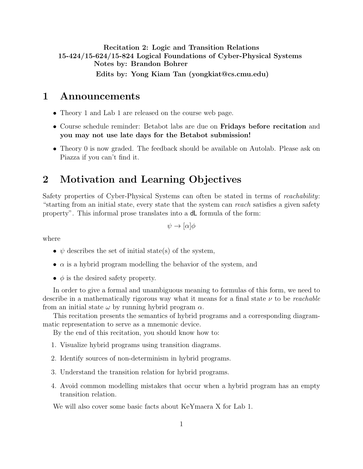Recitation 2: Logic and Transition Relations 15-424/15-624/15-824 Logical Foundations of Cyber-Physical Systems Notes by: Brandon Bohrer Edits by: Yong Kiam Tan (yongkiat@cs.cmu.edu)

## 1 Announcements

- Theory 1 and Lab 1 are released on the course web page.
- Course schedule reminder: Betabot labs are due on Fridays before recitation and you may not use late days for the Betabot submission!
- Theory 0 is now graded. The feedback should be available on Autolab. Please ask on Piazza if you can't find it.

# 2 Motivation and Learning Objectives

Safety properties of Cyber-Physical Systems can often be stated in terms of reachability: "starting from an initial state, every state that the system can reach satisfies a given safety property". This informal prose translates into a dL formula of the form:

 $\psi \rightarrow [\alpha] \phi$ 

where

- $\psi$  describes the set of initial state(s) of the system,
- $\alpha$  is a hybrid program modelling the behavior of the system, and
- $\phi$  is the desired safety property.

In order to give a formal and unambiguous meaning to formulas of this form, we need to describe in a mathematically rigorous way what it means for a final state  $\nu$  to be *reachable* from an initial state  $\omega$  by running hybrid program  $\alpha$ .

This recitation presents the semantics of hybrid programs and a corresponding diagrammatic representation to serve as a mnemonic device.

By the end of this recitation, you should know how to:

- 1. Visualize hybrid programs using transition diagrams.
- 2. Identify sources of non-determinism in hybrid programs.
- 3. Understand the transition relation for hybrid programs.
- 4. Avoid common modelling mistakes that occur when a hybrid program has an empty transition relation.

We will also cover some basic facts about KeYmaera X for Lab 1.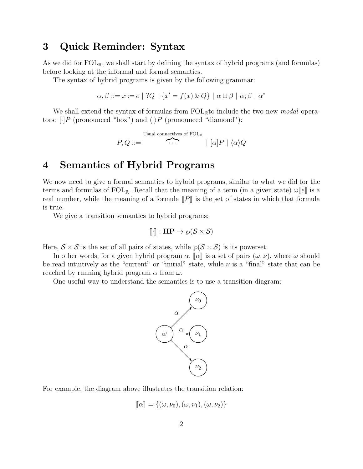# 3 Quick Reminder: Syntax

As we did for  $FOL_{\mathbb{R}}$ , we shall start by defining the syntax of hybrid programs (and formulas) before looking at the informal and formal semantics.

The syntax of hybrid programs is given by the following grammar:

$$
\alpha, \beta ::= x := e \mid ?Q \mid \{x' = f(x) \& Q\} \mid \alpha \cup \beta \mid \alpha; \beta \mid \alpha^*
$$

We shall extend the syntax of formulas from  $FOL_{\mathbb{R}}$  to include the two new *modal* operators:  $\lceil \cdot \rceil P$  (pronounced "box") and  $\langle \cdot \rangle P$  (pronounced "diamond"):

> $P,Q ::=$ Usual connectives of FOLR  $\widehat{\cdots}$  |  $[\alpha]P | \langle \alpha \rangle Q$

# 4 Semantics of Hybrid Programs

We now need to give a formal semantics to hybrid programs, similar to what we did for the terms and formulas of  $FOL_{\mathbb{R}}$ . Recall that the meaning of a term (in a given state)  $\omega||e||$  is a real number, while the meaning of a formula  $\llbracket P \rrbracket$  is the set of states in which that formula is true.

We give a transition semantics to hybrid programs:

$$
[\![\cdot]\!] : \mathbf{HP} \to \wp(\mathcal{S} \times \mathcal{S})
$$

Here,  $S \times S$  is the set of all pairs of states, while  $\wp(S \times S)$  is its powerset.

In other words, for a given hybrid program  $\alpha$ ,  $\llbracket \alpha \rrbracket$  is a set of pairs  $(\omega, \nu)$ , where  $\omega$  should be read intuitively as the "current" or "initial" state, while  $\nu$  is a "final" state that can be reached by running hybrid program  $\alpha$  from  $\omega$ .

One useful way to understand the semantics is to use a transition diagram:



For example, the diagram above illustrates the transition relation:

$$
\llbracket \alpha \rrbracket = \{ (\omega, \nu_0), (\omega, \nu_1), (\omega, \nu_2) \}
$$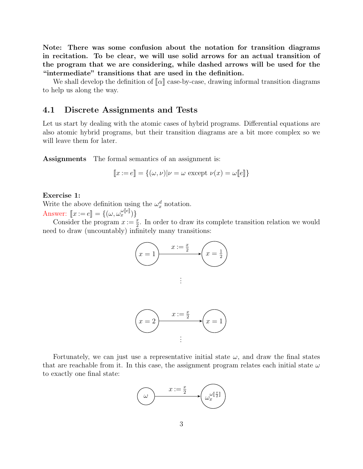Note: There was some confusion about the notation for transition diagrams in recitation. To be clear, we will use solid arrows for an actual transition of the program that we are considering, while dashed arrows will be used for the "intermediate" transitions that are used in the definition.

We shall develop the definition of  $\llbracket \alpha \rrbracket$  case-by-case, drawing informal transition diagrams to help us along the way.

## 4.1 Discrete Assignments and Tests

Let us start by dealing with the atomic cases of hybrid programs. Differential equations are also atomic hybrid programs, but their transition diagrams are a bit more complex so we will leave them for later.

Assignments The formal semantics of an assignment is:

$$
\llbracket x := e \rrbracket = \{ (\omega, \nu) | \nu = \omega \text{ except } \nu(x) = \omega \llbracket e \rrbracket \}
$$

#### Exercise 1:

Write the above definition using the  $\omega_x^d$  notation.

Answer:  $[x := e] = \{(\omega, \omega_x^{\omega[e]})\}$ <br>Consider the program  $x := e$ Consider the program  $x := \frac{x}{2}$ . In order to draw its complete transition relation we would need to draw (uncountably) infinitely many transitions:



Fortunately, we can just use a representative initial state  $\omega$ , and draw the final states that are reachable from it. In this case, the assignment program relates each initial state  $\omega$ to exactly one final state:

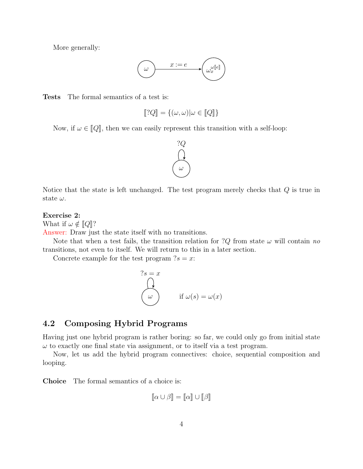More generally:



Tests The formal semantics of a test is:

$$
[\![?Q]\!] = \{(\omega, \omega)|\omega \in [\![Q]\!]\}
$$

Now, if  $\omega \in [Q]$ , then we can easily represent this transition with a self-loop:



Notice that the state is left unchanged. The test program merely checks that  $Q$  is true in state  $\omega$ .

#### Exercise 2:

What if  $\omega \notin [Q]$ ?

Answer: Draw just the state itself with no transitions.

Note that when a test fails, the transition relation for ?Q from state  $\omega$  will contain no transitions, not even to itself. We will return to this in a later section.

Concrete example for the test program  $?s = x$ :

$$
?s = x
$$
  
\n
$$
\omega
$$
  
\nif  $\omega(s) = \omega(x)$ 

## 4.2 Composing Hybrid Programs

Having just one hybrid program is rather boring: so far, we could only go from initial state  $\omega$  to exactly one final state via assignment, or to itself via a test program.

Now, let us add the hybrid program connectives: choice, sequential composition and looping.

Choice The formal semantics of a choice is:

$$
[\![\alpha \cup \beta]\!] = [\![\alpha]\!] \cup [\![\beta]\!]
$$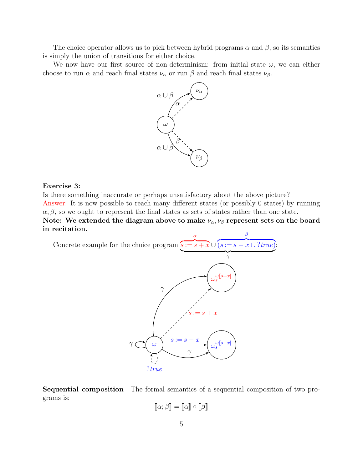The choice operator allows us to pick between hybrid programs  $\alpha$  and  $\beta$ , so its semantics is simply the union of transitions for either choice.

We now have our first source of non-determinism: from initial state  $\omega$ , we can either choose to run  $\alpha$  and reach final states  $\nu_{\alpha}$  or run  $\beta$  and reach final states  $\nu_{\beta}$ .



#### Exercise 3:

Is there something inaccurate or perhaps unsatisfactory about the above picture? Answer: It is now possible to reach many different states (or possibly 0 states) by running  $\alpha, \beta$ , so we ought to represent the final states as sets of states rather than one state. Note: We extended the diagram above to make  $\nu_{\alpha}, \nu_{\beta}$  represent sets on the board in recitation. β

Concrete example for the choice program  $s := s + x \cup (s := s - x \cup ?true)$ : α



Sequential composition The formal semantics of a sequential composition of two programs is:

$$
[\![\alpha;\beta]\!] = [\![\alpha]\!] \circ [\![\beta]\!]
$$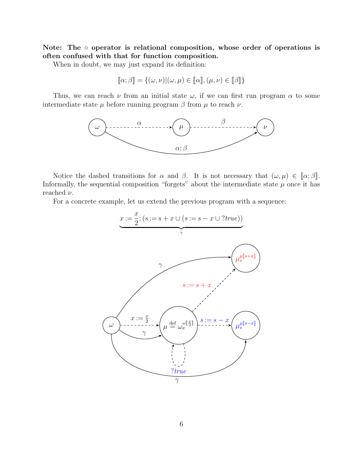Note: The ∘ operator is relational composition, whose order of operations is often confused with that for function composition.

When in doubt, we may just expand its definition:

$$
[\![\alpha;\beta]\!] = \{(\omega,\nu)|(\omega,\mu) \in [\![\alpha]\!], (\mu,\nu) \in [\![\beta]\!]\}
$$

Thus, we can reach  $\nu$  from an initial state  $\omega$ , if we can first run program  $\alpha$  to some intermediate state  $\mu$  before running program  $\beta$  from  $\mu$  to reach  $\nu$ .



Notice the dashed transitions for  $\alpha$  and  $\beta$ . It is not necessary that  $(\omega, \mu) \in [\alpha; \beta]$ . Informally, the sequential composition "forgets" about the intermediate state  $\mu$  once it has reached  $\nu$ .

For a concrete example, let us extend the previous program with a sequence:

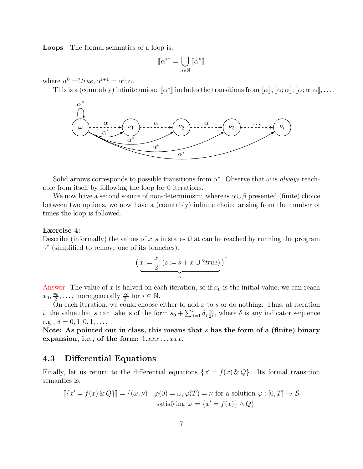Loops The formal semantics of a loop is:

$$
[\![\alpha^*]\!] = \bigcup_{n\in\mathbb{N}} [\![\alpha^n]\!]
$$

where  $\alpha^0 = ?true, \alpha^{i+1} = \alpha^i; \alpha$ .

This is a (countably) infinite union:  $\llbracket \alpha^* \rrbracket$  includes the transitions from  $\llbracket \alpha \rrbracket$ ,  $\llbracket \alpha; \alpha \rrbracket$ ,  $\llbracket \alpha; \alpha; \alpha \rrbracket$ , ...



Solid arrows corresponds to possible transitions from  $\alpha^*$ . Observe that  $\omega$  is *always* reachable from itself by following the loop for 0 iterations.

We now have a second source of non-determinism: whereas  $\alpha \cup \beta$  presented (finite) choice between two options, we now have a (countably) infinite choice arising from the number of times the loop is followed.

#### Exercise 4:

Describe (informally) the values of  $x, s$  in states that can be reached by running the program  $\gamma^*$  (simplified to remove one of its branches).

$$
\underbrace{(x:=\frac{x}{2}; (s:=s+x\cup ?true)}_{\gamma})^*
$$

Answer: The value of x is halved on each iteration, so if  $x_0$  is the initial value, we can reach  $x_0, \frac{x_0}{2}$  $\frac{x_0}{2}, \ldots$ , more generally  $\frac{x_0}{2^i}$  for  $i \in \mathbb{N}$ .

On each iteration, we could choose either to add  $x$  to  $s$  or do nothing. Thus, at iteration *i*, the value that s can take is of the form  $s_0 + \sum_{j=1}^i \delta_j \frac{x_0}{2^j}$  $\frac{x_0}{2^j}$ , where  $\delta$  is any indicator sequence e.g.,  $\delta = 0, 1, 0, 1, \ldots$ 

Note: As pointed out in class, this means that  $s$  has the form of a (finite) binary expansion, i.e., of the form:  $1.xxx \ldots xxx$ .

### 4.3 Differential Equations

Finally, let us return to the differential equations  $\{x' = f(x) \& Q\}$ . Its formal transition semantics is:

$$
\[\{x' = f(x) \& Q\}\] = \{(\omega, \nu) \mid \varphi(0) = \omega, \varphi(T) = \nu \text{ for a solution } \varphi : [0, T] \to S
$$
  
satisfying  $\varphi \models \{x' = f(x)\} \land Q\}$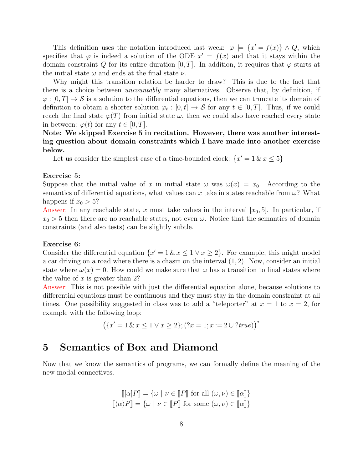This definition uses the notation introduced last week:  $\varphi \models \{x' = f(x)\}\land Q$ , which specifies that  $\varphi$  is indeed a solution of the ODE  $x' = f(x)$  and that it stays within the domain constraint Q for its entire duration [0, T]. In addition, it requires that  $\varphi$  starts at the initial state  $\omega$  and ends at the final state  $\nu$ .

Why might this transition relation be harder to draw? This is due to the fact that there is a choice between *uncountably* many alternatives. Observe that, by definition, if  $\varphi: [0,T] \to S$  is a solution to the differential equations, then we can truncate its domain of definition to obtain a shorter solution  $\varphi_t : [0, t] \to S$  for any  $t \in [0, T]$ . Thus, if we could reach the final state  $\varphi(T)$  from initial state  $\omega$ , then we could also have reached every state in between:  $\varphi(t)$  for any  $t \in [0, T]$ .

## Note: We skipped Exercise 5 in recitation. However, there was another interesting question about domain constraints which I have made into another exercise below.

Let us consider the simplest case of a time-bounded clock:  $\{x' = 1 \& x \leq 5\}$ 

#### Exercise 5:

Suppose that the initial value of x in initial state  $\omega$  was  $\omega(x) = x_0$ . According to the semantics of differential equations, what values can x take in states reachable from  $\omega$ ? What happens if  $x_0 > 5$ ?

Answer: In any reachable state, x must take values in the interval  $[x_0, 5]$ . In particular, if  $x_0 > 5$  then there are no reachable states, not even  $\omega$ . Notice that the semantics of domain constraints (and also tests) can be slightly subtle.

#### Exercise 6:

Consider the differential equation  $\{x' = 1 \& x \leq 1 \lor x \geq 2\}$ . For example, this might model a car driving on a road where there is a chasm on the interval  $(1, 2)$ . Now, consider an initial state where  $\omega(x) = 0$ . How could we make sure that  $\omega$  has a transition to final states where the value of  $x$  is greater than 2?

Answer: This is not possible with just the differential equation alone, because solutions to differential equations must be continuous and they must stay in the domain constraint at all times. One possibility suggested in class was to add a "teleporter" at  $x = 1$  to  $x = 2$ , for example with the following loop:

$$
(\{x' = 1 \& x \le 1 \lor x \ge 2\}; (?x = 1; x := 2 \cup ?true))^{*}
$$

## 5 Semantics of Box and Diamond

Now that we know the semantics of programs, we can formally define the meaning of the new modal connectives.

$$
\llbracket [\alpha]P \rrbracket = \{ \omega \mid \nu \in \llbracket P \rrbracket \text{ for all } (\omega, \nu) \in \llbracket \alpha \rrbracket \}
$$

$$
\llbracket \langle \alpha \rangle P \rrbracket = \{ \omega \mid \nu \in \llbracket P \rrbracket \text{ for some } (\omega, \nu) \in \llbracket \alpha \rrbracket \}
$$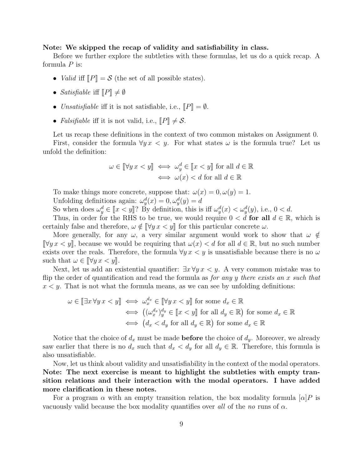#### Note: We skipped the recap of validity and satisfiability in class.

Before we further explore the subtleties with these formulas, let us do a quick recap. A formula  $P$  is:

- *Valid* iff  $\llbracket P \rrbracket = \mathcal{S}$  (the set of all possible states).
- Satisfiable iff  $\llbracket P \rrbracket \neq \emptyset$
- Unsatisfiable iff it is not satisfiable, i.e.,  $\llbracket P \rrbracket = \emptyset$ .
- Falsifiable iff it is not valid, i.e.,  $\llbracket P \rrbracket \neq S$ .

Let us recap these definitions in the context of two common mistakes on Assignment 0. First, consider the formula  $\forall y \, x \leq y$ . For what states  $\omega$  is the formula true? Let us unfold the definition:

$$
\omega \in [\![\forall y \, x < y]\!] \iff \omega_y^d \in [\![x < y]\!] \text{ for all } d \in \mathbb{R}
$$
\n
$$
\iff \omega(x) < d \text{ for all } d \in \mathbb{R}
$$

To make things more concrete, suppose that:  $\omega(x) = 0, \omega(y) = 1$ . Unfolding definitions again:  $\omega_y^d(x) = 0, \omega_y^d(y) = d$ 

So when does  $\omega_y^d \in [x < y]$ ? By definition, this is iff  $\omega_y^d(x) < \omega_y^d(y)$ , i.e.,  $0 < d$ .<br>Thus in order for the BHS to be true we would require  $0 < d$  for all  $d \in \mathbb{R}$ .

Thus, in order for the RHS to be true, we would require  $0 < d$  for all  $d \in \mathbb{R}$ , which is certainly false and therefore,  $\omega \notin \forall y \in \mathcal{X}$  for this particular concrete  $\omega$ .

More generally, for any  $\omega$ , a very similar argument would work to show that  $\omega \notin$  $\[\forall y \, x < y\]$ , because we would be requiring that  $\omega(x) < d$  for all  $d \in \mathbb{R}$ , but no such number exists over the reals. Therefore, the formula  $\forall y \, x \leq y$  is unsatisfiable because there is no  $\omega$ such that  $\omega \in \llbracket \forall y \, x \leq y \rrbracket$ .

Next, let us add an existential quantifier:  $\exists x \forall y \, x \leq y$ . A very common mistake was to flip the order of quantification and read the formula as *for any y there exists an x such that*  $x < y$ . That is not what the formula means, as we can see by unfolding definitions:

$$
\omega \in [\exists x \forall y \, x < y] \iff \omega_x^{d_x} \in [\forall y \, x < y] \text{ for some } d_x \in \mathbb{R}
$$
\n
$$
\iff ((\omega_x^{d_x})_y^{d_y} \in [x < y] \text{ for all } d_y \in \mathbb{R}) \text{ for some } d_x \in \mathbb{R}
$$
\n
$$
\iff (d_x < d_y \text{ for all } d_y \in \mathbb{R}) \text{ for some } d_x \in \mathbb{R}
$$

Notice that the choice of  $d_x$  must be made **before** the choice of  $d_y$ . Moreover, we already saw earlier that there is no  $d_x$  such that  $d_x < d_y$  for all  $d_y \in \mathbb{R}$ . Therefore, this formula is also unsatisfiable.

Now, let us think about validity and unsatisfiability in the context of the modal operators. Note: The next exercise is meant to highlight the subtleties with empty transition relations and their interaction with the modal operators. I have added more clarification in these notes.

For a program  $\alpha$  with an empty transition relation, the box modality formula  $[\alpha]P$  is vacuously valid because the box modality quantifies over all of the no runs of  $\alpha$ .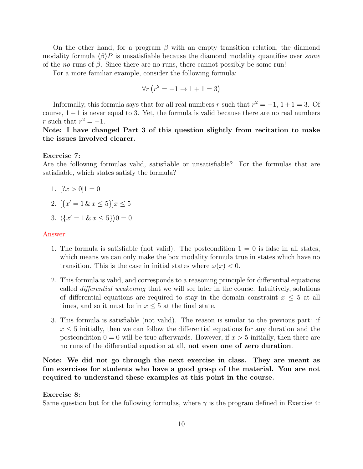On the other hand, for a program  $\beta$  with an empty transition relation, the diamond modality formula  $\langle \beta \rangle P$  is unsatisfiable because the diamond modality quantifies over some of the *no* runs of  $\beta$ . Since there are no runs, there cannot possibly be some run!

For a more familiar example, consider the following formula:

$$
\forall r \left( r^2 = -1 \to 1 + 1 = 3 \right)
$$

Informally, this formula says that for all real numbers r such that  $r^2 = -1$ ,  $1+1=3$ . Of course,  $1 + 1$  is never equal to 3. Yet, the formula is valid because there are no real numbers r such that  $r^2 = -1$ .

Note: I have changed Part 3 of this question slightly from recitation to make the issues involved clearer.

#### Exercise 7:

Are the following formulas valid, satisfiable or unsatisfiable? For the formulas that are satisfiable, which states satisfy the formula?

- 1.  $[?x > 0]1 = 0$
- 2.  $\left[\{x'=1\,\&\,x\leq 5\}\right]x\leq 5$
- 3.  $\langle \{x' = 1 \& x \le 5\}\rangle = 0$

#### Answer:

- 1. The formula is satisfiable (not valid). The postcondition  $1 = 0$  is false in all states, which means we can only make the box modality formula true in states which have no transition. This is the case in initial states where  $\omega(x) < 0$ .
- 2. This formula is valid, and corresponds to a reasoning principle for differential equations called differential weakening that we will see later in the course. Intuitively, solutions of differential equations are required to stay in the domain constraint  $x \leq 5$  at all times, and so it must be in  $x \leq 5$  at the final state.
- 3. This formula is satisfiable (not valid). The reason is similar to the previous part: if  $x \leq 5$  initially, then we can follow the differential equations for any duration and the postcondition  $0 = 0$  will be true afterwards. However, if  $x > 5$  initially, then there are no runs of the differential equation at all, not even one of zero duration.

Note: We did not go through the next exercise in class. They are meant as fun exercises for students who have a good grasp of the material. You are not required to understand these examples at this point in the course.

#### Exercise 8:

Same question but for the following formulas, where  $\gamma$  is the program defined in Exercise 4: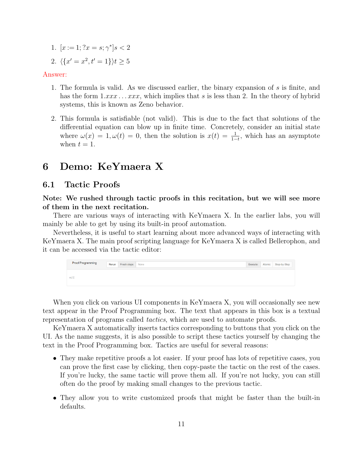1.  $[x := 1; ?x = s; \gamma^*]s < 2$ 2.  $\langle \{x' = x^2, t' = 1\} \rangle t \ge 5$ 

#### Answer:

- 1. The formula is valid. As we discussed earlier, the binary expansion of s is finite, and has the form  $1.xxx \dots xxx$ , which implies that s is less than 2. In the theory of hybrid systems, this is known as Zeno behavior.
- 2. This formula is satisfiable (not valid). This is due to the fact that solutions of the differential equation can blow up in finite time. Concretely, consider an initial state where  $\omega(x) = 1, \omega(t) = 0$ , then the solution is  $x(t) = \frac{1}{1-t}$ , which has an asymptote when  $t = 1$ .

# 6 Demo: KeYmaera X

### 6.1 Tactic Proofs

Note: We rushed through tactic proofs in this recitation, but we will see more of them in the next recitation.

There are various ways of interacting with KeYmaera X. In the earlier labs, you will mainly be able to get by using its built-in proof automation.

Nevertheless, it is useful to start learning about more advanced ways of interacting with KeYmaera X. The main proof scripting language for KeYmaera X is called Bellerophon, and it can be accessed via the tactic editor:



When you click on various UI components in KeYmaera X, you will occasionally see new text appear in the Proof Programming box. The text that appears in this box is a textual representation of programs called tactics, which are used to automate proofs.

KeYmaera X automatically inserts tactics corresponding to buttons that you click on the UI. As the name suggests, it is also possible to script these tactics yourself by changing the text in the Proof Programming box. Tactics are useful for several reasons:

- They make repetitive proofs a lot easier. If your proof has lots of repetitive cases, you can prove the first case by clicking, then copy-paste the tactic on the rest of the cases. If you're lucky, the same tactic will prove them all. If you're not lucky, you can still often do the proof by making small changes to the previous tactic.
- They allow you to write customized proofs that might be faster than the built-in defaults.